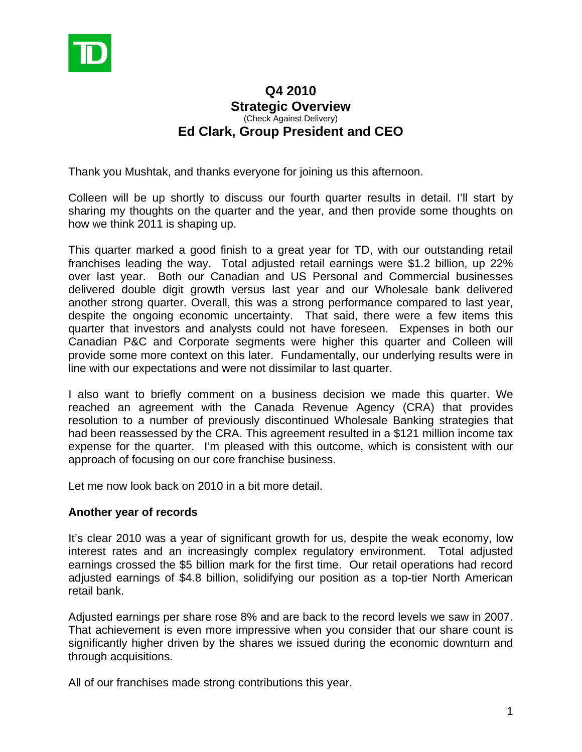

# **Q4 2010 Strategic Overview**  (Check Against Delivery) **Ed Clark, Group President and CEO**

Thank you Mushtak, and thanks everyone for joining us this afternoon.

Colleen will be up shortly to discuss our fourth quarter results in detail. I'll start by sharing my thoughts on the quarter and the year, and then provide some thoughts on how we think 2011 is shaping up.

This quarter marked a good finish to a great year for TD, with our outstanding retail franchises leading the way. Total adjusted retail earnings were \$1.2 billion, up 22% over last year. Both our Canadian and US Personal and Commercial businesses delivered double digit growth versus last year and our Wholesale bank delivered another strong quarter. Overall, this was a strong performance compared to last year, despite the ongoing economic uncertainty. That said, there were a few items this quarter that investors and analysts could not have foreseen. Expenses in both our Canadian P&C and Corporate segments were higher this quarter and Colleen will provide some more context on this later. Fundamentally, our underlying results were in line with our expectations and were not dissimilar to last quarter.

I also want to briefly comment on a business decision we made this quarter. We reached an agreement with the Canada Revenue Agency (CRA) that provides resolution to a number of previously discontinued Wholesale Banking strategies that had been reassessed by the CRA. This agreement resulted in a \$121 million income tax expense for the quarter. I'm pleased with this outcome, which is consistent with our approach of focusing on our core franchise business.

Let me now look back on 2010 in a bit more detail.

### **Another year of records**

It's clear 2010 was a year of significant growth for us, despite the weak economy, low interest rates and an increasingly complex regulatory environment. Total adjusted earnings crossed the \$5 billion mark for the first time. Our retail operations had record adjusted earnings of \$4.8 billion, solidifying our position as a top-tier North American retail bank.

Adjusted earnings per share rose 8% and are back to the record levels we saw in 2007. That achievement is even more impressive when you consider that our share count is significantly higher driven by the shares we issued during the economic downturn and through acquisitions.

All of our franchises made strong contributions this year.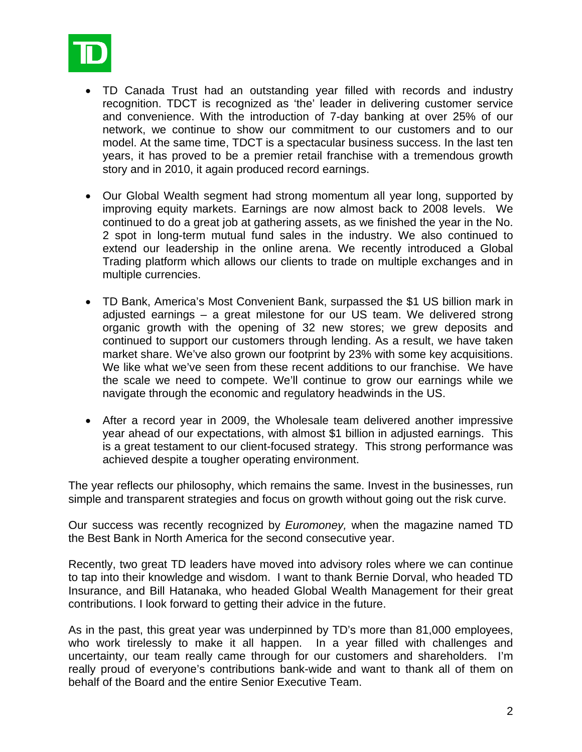

- TD Canada Trust had an outstanding year filled with records and industry recognition. TDCT is recognized as 'the' leader in delivering customer service and convenience. With the introduction of 7-day banking at over 25% of our network, we continue to show our commitment to our customers and to our model. At the same time, TDCT is a spectacular business success. In the last ten years, it has proved to be a premier retail franchise with a tremendous growth story and in 2010, it again produced record earnings.
- Our Global Wealth segment had strong momentum all year long, supported by improving equity markets. Earnings are now almost back to 2008 levels. We continued to do a great job at gathering assets, as we finished the year in the No. 2 spot in long-term mutual fund sales in the industry. We also continued to extend our leadership in the online arena. We recently introduced a Global Trading platform which allows our clients to trade on multiple exchanges and in multiple currencies.
- TD Bank, America's Most Convenient Bank, surpassed the \$1 US billion mark in adjusted earnings – a great milestone for our US team. We delivered strong organic growth with the opening of 32 new stores; we grew deposits and continued to support our customers through lending. As a result, we have taken market share. We've also grown our footprint by 23% with some key acquisitions. We like what we've seen from these recent additions to our franchise. We have the scale we need to compete. We'll continue to grow our earnings while we navigate through the economic and regulatory headwinds in the US.
- After a record year in 2009, the Wholesale team delivered another impressive year ahead of our expectations, with almost \$1 billion in adjusted earnings. This is a great testament to our client-focused strategy. This strong performance was achieved despite a tougher operating environment.

The year reflects our philosophy, which remains the same. Invest in the businesses, run simple and transparent strategies and focus on growth without going out the risk curve.

Our success was recently recognized by *Euromoney,* when the magazine named TD the Best Bank in North America for the second consecutive year.

Recently, two great TD leaders have moved into advisory roles where we can continue to tap into their knowledge and wisdom. I want to thank Bernie Dorval, who headed TD Insurance, and Bill Hatanaka, who headed Global Wealth Management for their great contributions. I look forward to getting their advice in the future.

As in the past, this great year was underpinned by TD's more than 81,000 employees, who work tirelessly to make it all happen. In a year filled with challenges and uncertainty, our team really came through for our customers and shareholders. I'm really proud of everyone's contributions bank-wide and want to thank all of them on behalf of the Board and the entire Senior Executive Team.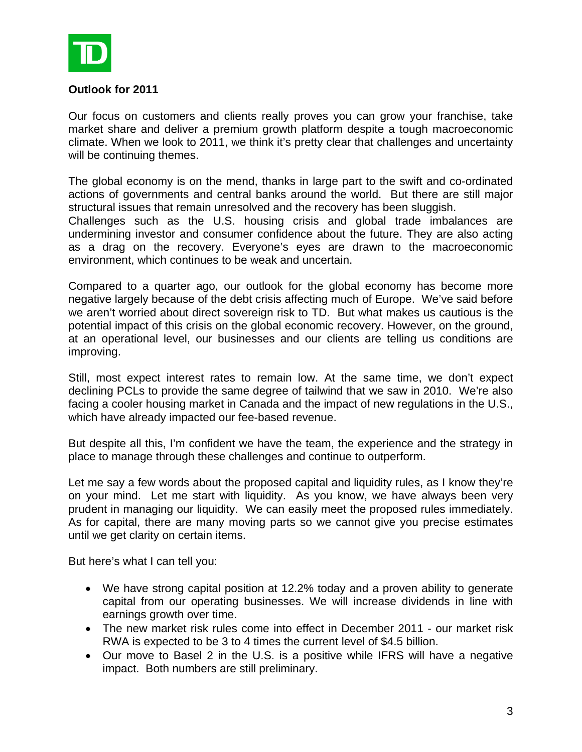

### **Outlook for 2011**

Our focus on customers and clients really proves you can grow your franchise, take market share and deliver a premium growth platform despite a tough macroeconomic climate. When we look to 2011, we think it's pretty clear that challenges and uncertainty will be continuing themes.

The global economy is on the mend, thanks in large part to the swift and co-ordinated actions of governments and central banks around the world. But there are still major structural issues that remain unresolved and the recovery has been sluggish.

Challenges such as the U.S. housing crisis and global trade imbalances are undermining investor and consumer confidence about the future. They are also acting as a drag on the recovery. Everyone's eyes are drawn to the macroeconomic environment, which continues to be weak and uncertain.

Compared to a quarter ago, our outlook for the global economy has become more negative largely because of the debt crisis affecting much of Europe. We've said before we aren't worried about direct sovereign risk to TD. But what makes us cautious is the potential impact of this crisis on the global economic recovery. However, on the ground, at an operational level, our businesses and our clients are telling us conditions are improving.

Still, most expect interest rates to remain low. At the same time, we don't expect declining PCLs to provide the same degree of tailwind that we saw in 2010. We're also facing a cooler housing market in Canada and the impact of new regulations in the U.S., which have already impacted our fee-based revenue.

But despite all this, I'm confident we have the team, the experience and the strategy in place to manage through these challenges and continue to outperform.

Let me say a few words about the proposed capital and liquidity rules, as I know they're on your mind. Let me start with liquidity. As you know, we have always been very prudent in managing our liquidity. We can easily meet the proposed rules immediately. As for capital, there are many moving parts so we cannot give you precise estimates until we get clarity on certain items.

But here's what I can tell you:

- We have strong capital position at 12.2% today and a proven ability to generate capital from our operating businesses. We will increase dividends in line with earnings growth over time.
- The new market risk rules come into effect in December 2011 our market risk RWA is expected to be 3 to 4 times the current level of \$4.5 billion.
- Our move to Basel 2 in the U.S. is a positive while IFRS will have a negative impact. Both numbers are still preliminary.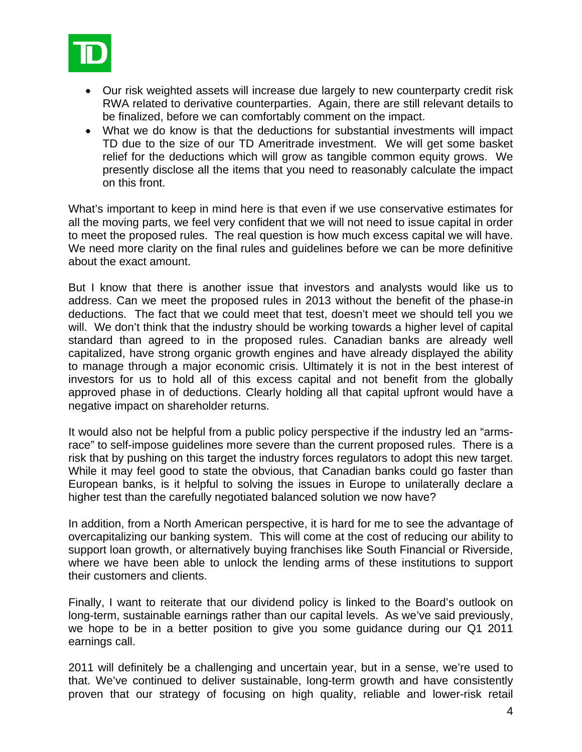

- Our risk weighted assets will increase due largely to new counterparty credit risk RWA related to derivative counterparties. Again, there are still relevant details to be finalized, before we can comfortably comment on the impact.
- What we do know is that the deductions for substantial investments will impact TD due to the size of our TD Ameritrade investment. We will get some basket relief for the deductions which will grow as tangible common equity grows. We presently disclose all the items that you need to reasonably calculate the impact on this front.

What's important to keep in mind here is that even if we use conservative estimates for all the moving parts, we feel very confident that we will not need to issue capital in order to meet the proposed rules. The real question is how much excess capital we will have. We need more clarity on the final rules and guidelines before we can be more definitive about the exact amount.

But I know that there is another issue that investors and analysts would like us to address. Can we meet the proposed rules in 2013 without the benefit of the phase-in deductions. The fact that we could meet that test, doesn't meet we should tell you we will. We don't think that the industry should be working towards a higher level of capital standard than agreed to in the proposed rules. Canadian banks are already well capitalized, have strong organic growth engines and have already displayed the ability to manage through a major economic crisis. Ultimately it is not in the best interest of investors for us to hold all of this excess capital and not benefit from the globally approved phase in of deductions. Clearly holding all that capital upfront would have a negative impact on shareholder returns.

It would also not be helpful from a public policy perspective if the industry led an "armsrace" to self-impose guidelines more severe than the current proposed rules. There is a risk that by pushing on this target the industry forces regulators to adopt this new target. While it may feel good to state the obvious, that Canadian banks could go faster than European banks, is it helpful to solving the issues in Europe to unilaterally declare a higher test than the carefully negotiated balanced solution we now have?

In addition, from a North American perspective, it is hard for me to see the advantage of overcapitalizing our banking system. This will come at the cost of reducing our ability to support loan growth, or alternatively buying franchises like South Financial or Riverside, where we have been able to unlock the lending arms of these institutions to support their customers and clients.

Finally, I want to reiterate that our dividend policy is linked to the Board's outlook on long-term, sustainable earnings rather than our capital levels. As we've said previously, we hope to be in a better position to give you some guidance during our Q1 2011 earnings call.

2011 will definitely be a challenging and uncertain year, but in a sense, we're used to that. We've continued to deliver sustainable, long-term growth and have consistently proven that our strategy of focusing on high quality, reliable and lower-risk retail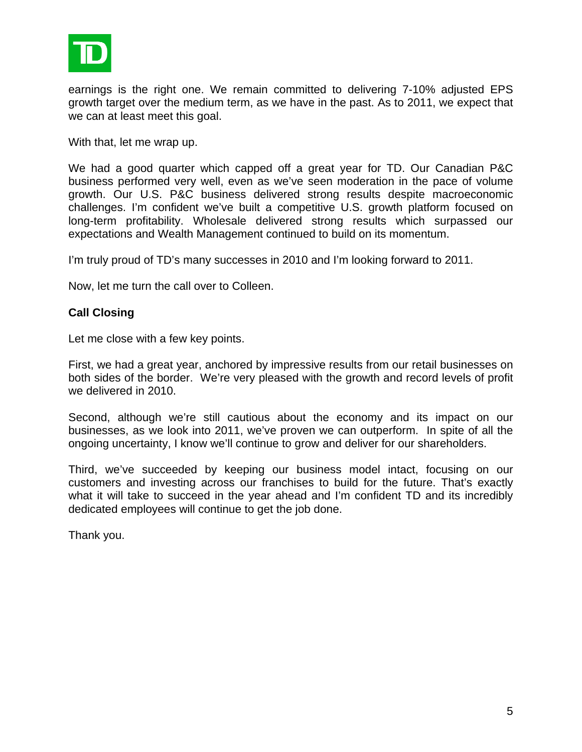

earnings is the right one. We remain committed to delivering 7-10% adjusted EPS growth target over the medium term, as we have in the past. As to 2011, we expect that we can at least meet this goal.

With that, let me wrap up.

We had a good quarter which capped off a great year for TD. Our Canadian P&C business performed very well, even as we've seen moderation in the pace of volume growth. Our U.S. P&C business delivered strong results despite macroeconomic challenges. I'm confident we've built a competitive U.S. growth platform focused on long-term profitability. Wholesale delivered strong results which surpassed our expectations and Wealth Management continued to build on its momentum.

I'm truly proud of TD's many successes in 2010 and I'm looking forward to 2011.

Now, let me turn the call over to Colleen.

## **Call Closing**

Let me close with a few key points.

First, we had a great year, anchored by impressive results from our retail businesses on both sides of the border. We're very pleased with the growth and record levels of profit we delivered in 2010.

Second, although we're still cautious about the economy and its impact on our businesses, as we look into 2011, we've proven we can outperform. In spite of all the ongoing uncertainty, I know we'll continue to grow and deliver for our shareholders.

Third, we've succeeded by keeping our business model intact, focusing on our customers and investing across our franchises to build for the future. That's exactly what it will take to succeed in the year ahead and I'm confident TD and its incredibly dedicated employees will continue to get the job done.

Thank you.